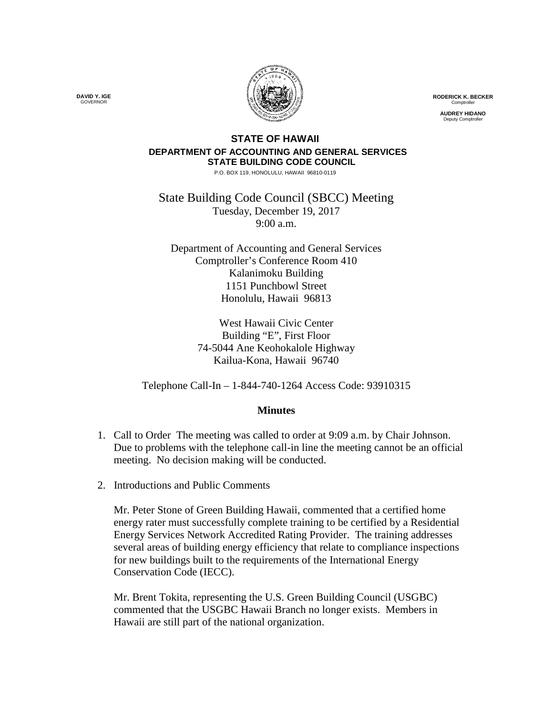

**RODERICK K. BECKER** Comptroller

**AUDREY HIDANO** Deputy Comptroller

## **STATE OF HAWAII DEPARTMENT OF ACCOUNTING AND GENERAL SERVICES STATE BUILDING CODE COUNCIL**

P.O. BOX 119, HONOLULU, HAWAII 96810-0119

State Building Code Council (SBCC) Meeting Tuesday, December 19, 2017 9:00 a.m.

Department of Accounting and General Services Comptroller's Conference Room 410 Kalanimoku Building 1151 Punchbowl Street Honolulu, Hawaii 96813

> West Hawaii Civic Center Building "E", First Floor 74-5044 Ane Keohokalole Highway Kailua-Kona, Hawaii 96740

Telephone Call-In – 1-844-740-1264 Access Code: 93910315

## **Minutes**

- 1. Call to Order The meeting was called to order at 9:09 a.m. by Chair Johnson. Due to problems with the telephone call-in line the meeting cannot be an official meeting. No decision making will be conducted.
- 2. Introductions and Public Comments

Mr. Peter Stone of Green Building Hawaii, commented that a certified home energy rater must successfully complete training to be certified by a Residential Energy Services Network Accredited Rating Provider. The training addresses several areas of building energy efficiency that relate to compliance inspections for new buildings built to the requirements of the International Energy Conservation Code (IECC).

Mr. Brent Tokita, representing the U.S. Green Building Council (USGBC) commented that the USGBC Hawaii Branch no longer exists. Members in Hawaii are still part of the national organization.

**DAVID Y. IGE** GOVERNOR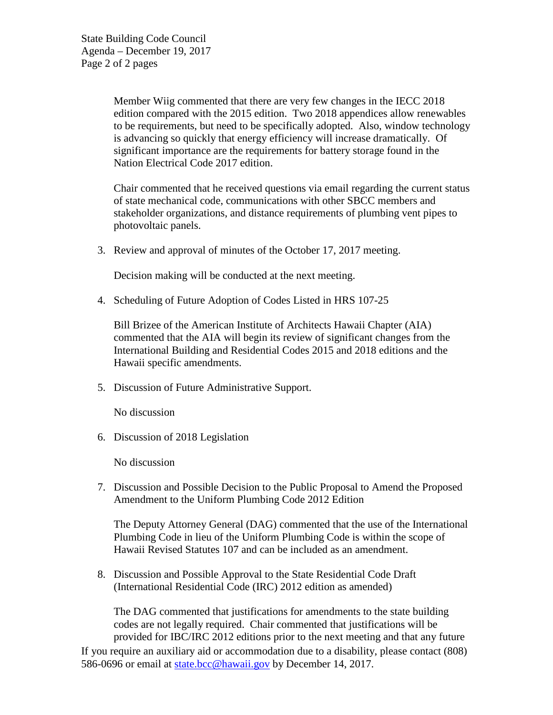State Building Code Council Agenda – December 19, 2017 Page 2 of 2 pages

> Member Wiig commented that there are very few changes in the IECC 2018 edition compared with the 2015 edition. Two 2018 appendices allow renewables to be requirements, but need to be specifically adopted. Also, window technology is advancing so quickly that energy efficiency will increase dramatically. Of significant importance are the requirements for battery storage found in the Nation Electrical Code 2017 edition.

> Chair commented that he received questions via email regarding the current status of state mechanical code, communications with other SBCC members and stakeholder organizations, and distance requirements of plumbing vent pipes to photovoltaic panels.

3. Review and approval of minutes of the October 17, 2017 meeting.

Decision making will be conducted at the next meeting.

4. Scheduling of Future Adoption of Codes Listed in HRS 107-25

Bill Brizee of the American Institute of Architects Hawaii Chapter (AIA) commented that the AIA will begin its review of significant changes from the International Building and Residential Codes 2015 and 2018 editions and the Hawaii specific amendments.

5. Discussion of Future Administrative Support.

No discussion

6. Discussion of 2018 Legislation

No discussion

7. Discussion and Possible Decision to the Public Proposal to Amend the Proposed Amendment to the Uniform Plumbing Code 2012 Edition

The Deputy Attorney General (DAG) commented that the use of the International Plumbing Code in lieu of the Uniform Plumbing Code is within the scope of Hawaii Revised Statutes 107 and can be included as an amendment.

8. Discussion and Possible Approval to the State Residential Code Draft (International Residential Code (IRC) 2012 edition as amended)

The DAG commented that justifications for amendments to the state building codes are not legally required. Chair commented that justifications will be provided for IBC/IRC 2012 editions prior to the next meeting and that any future If you require an auxiliary aid or accommodation due to a disability, please contact (808) 586-0696 or email at [state.bcc@hawaii.gov](mailto:state.bcc@hawaii.gov) by December 14, 2017.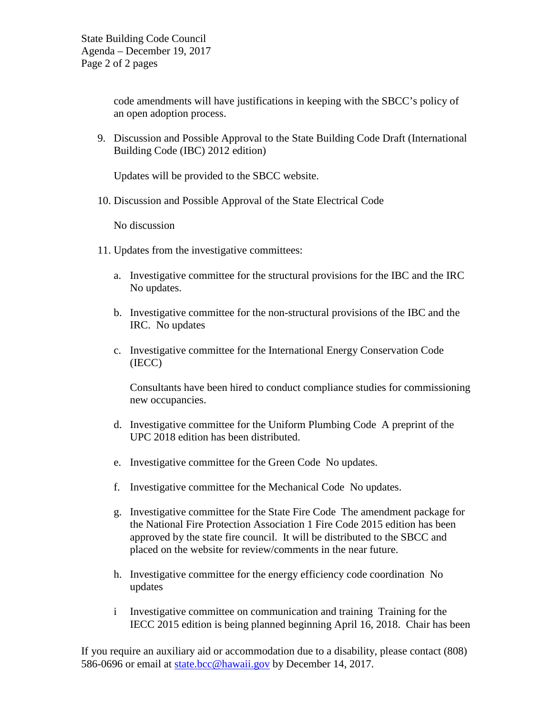code amendments will have justifications in keeping with the SBCC's policy of an open adoption process.

9. Discussion and Possible Approval to the State Building Code Draft (International Building Code (IBC) 2012 edition)

Updates will be provided to the SBCC website.

10. Discussion and Possible Approval of the State Electrical Code

No discussion

- 11. Updates from the investigative committees:
	- a. Investigative committee for the structural provisions for the IBC and the IRC No updates.
	- b. Investigative committee for the non-structural provisions of the IBC and the IRC. No updates
	- c. Investigative committee for the International Energy Conservation Code (IECC)

Consultants have been hired to conduct compliance studies for commissioning new occupancies.

- d. Investigative committee for the Uniform Plumbing Code A preprint of the UPC 2018 edition has been distributed.
- e. Investigative committee for the Green Code No updates.
- f. Investigative committee for the Mechanical Code No updates.
- g. Investigative committee for the State Fire Code The amendment package for the National Fire Protection Association 1 Fire Code 2015 edition has been approved by the state fire council. It will be distributed to the SBCC and placed on the website for review/comments in the near future.
- h. Investigative committee for the energy efficiency code coordination No updates
- i Investigative committee on communication and training Training for the IECC 2015 edition is being planned beginning April 16, 2018. Chair has been

If you require an auxiliary aid or accommodation due to a disability, please contact (808) 586-0696 or email at [state.bcc@hawaii.gov](mailto:state.bcc@hawaii.gov) by December 14, 2017.